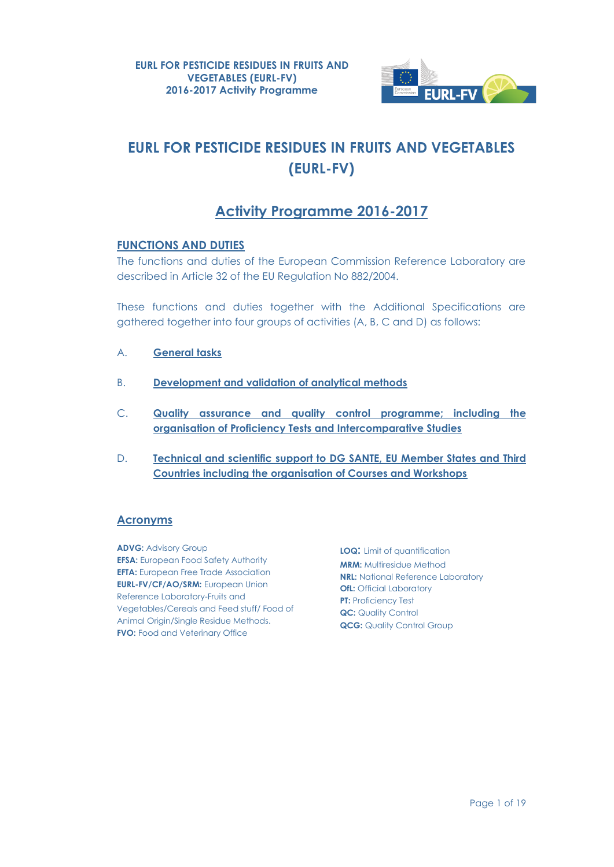

# **EURL FOR PESTICIDE RESIDUES IN FRUITS AND VEGETABLES (EURL-FV)**

# **Activity Programme 2016-2017**

### **FUNCTIONS AND DUTIES**

The functions and duties of the European Commission Reference Laboratory are described in Article 32 of the EU Regulation No 882/2004.

These functions and duties together with the Additional Specifications are gathered together into four groups of activities (A, B, C and D) as follows:

- A. **General tasks**
- B. **Development and validation of analytical methods**
- C. **Quality assurance and quality control programme; including the organisation of Proficiency Tests and Intercomparative Studies**
- D. **Technical and scientific support to DG SANTE, EU Member States and Third Countries including the organisation of Courses and Workshops**

### **Acronyms**

**ADVG: Advisory Group EFSA:** European Food Safety Authority **EFTA:** European Free Trade Association **EURL-FV/CF/AO/SRM:** European Union Reference Laboratory-Fruits and Vegetables/Cereals and Feed stuff/ Food of Animal Origin/Single Residue Methods. **FVO:** Food and Veterinary Office

**LOQ:** Limit of quantification **MRM:** Multiresidue Method **NRL:** National Reference Laboratory **OfL:** Official Laboratory **PT: Proficiency Test QC:** Quality Control **QCG: Quality Control Group**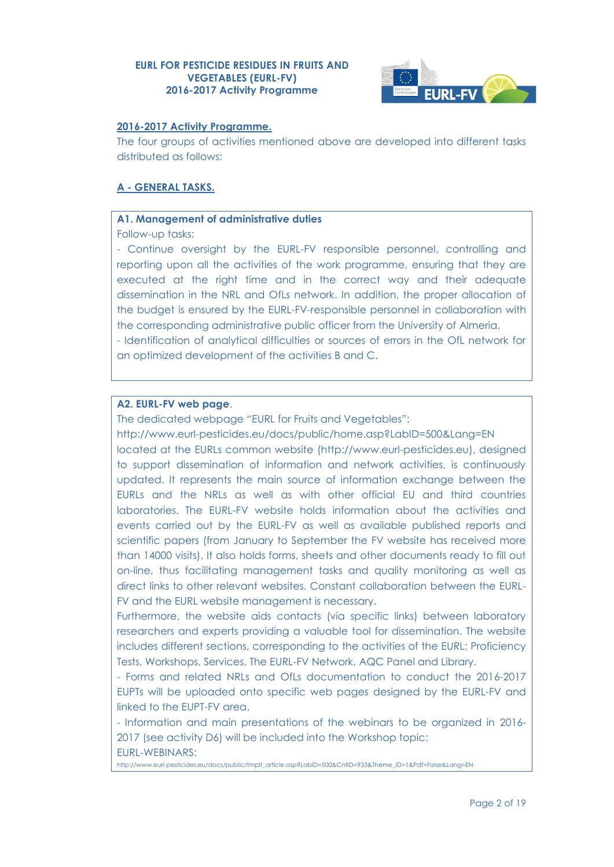

### **2016-2017 Activity Programme.**

The four groups of activities mentioned above are developed into different tasks distributed as follows:

### **A - GENERAL TASKS.**

### **A1. Management of administrative duties**

Follow-up tasks:

- Continue oversight by the EURL-FV responsible personnel, controlling and reporting upon all the activities of the work programme, ensuring that they are executed at the right time and in the correct way and their adequate dissemination in the NRL and OfLs network. In addition, the proper allocation of the budget is ensured by the EURL-FV-responsible personnel in collaboration with the corresponding administrative public officer from the University of Almeria.

- Identification of analytical difficulties or sources of errors in the OfL network for an optimized development of the activities B and C.

### **A2. EURL-FV web page**.

The dedicated webpage "EURL for Fruits and Vegetables":

<http://www.eurl-pesticides.eu/docs/public/home.asp?LabID=500&Lang=EN> located at the EURLs common website [\(http://www.eurl-pesticides.eu\)](http://www.eurl-pesticides.eu/), designed to support dissemination of information and network activities, is continuously updated. It represents the main source of information exchange between the EURLs and the NRLs as well as with other official EU and third countries laboratories. The EURL-FV website holds information about the activities and events carried out by the EURL-FV as well as available published reports and scientific papers (from January to September the FV website has received more than 14000 visits). It also holds forms, sheets and other documents ready to fill out on-line, thus facilitating management tasks and quality monitoring as well as direct links to other relevant websites. Constant collaboration between the EURL-FV and the EURL website management is necessary.

Furthermore, the website aids contacts (via specific links) between laboratory researchers and experts providing a valuable tool for dissemination. The website includes different sections, corresponding to the activities of the EURL: Proficiency Tests, Workshops, Services, The EURL-FV Network, AQC Panel and Library.

- Forms and related NRLs and OfLs documentation to conduct the 2016-2017 EUPTs will be uploaded onto specific web pages designed by the EURL-FV and linked to the EUPT-FV area.

- Information and main presentations of the webinars to be organized in 2016- 2017 (see activity D6) will be included into the Workshop topic: EURL-WEBINARS:

[http://www.eurl-pesticides.eu/docs/public/tmplt\\_article.asp?LabID=500&CntID=933&Theme\\_ID=1&Pdf=False&Lang=EN](http://www.eurl-pesticides.eu/docs/public/tmplt_article.asp?LabID=500&CntID=933&Theme_ID=1&Pdf=False&Lang=EN)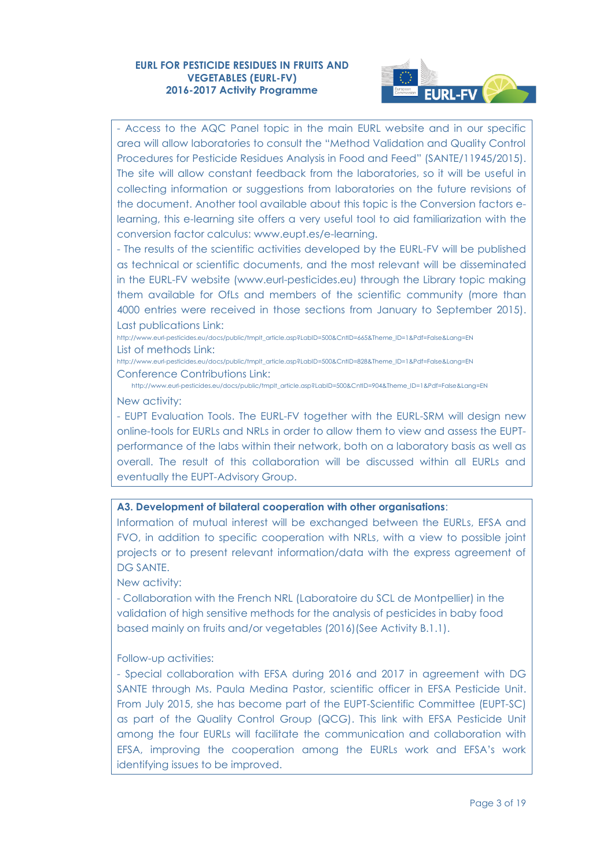

- Access to the AQC Panel topic in the main EURL website and in our specific area will allow laboratories to consult the "Method Validation and Quality Control Procedures for Pesticide Residues Analysis in Food and Feed" (SANTE/11945/2015). The site will allow constant feedback from the laboratories, so it will be useful in collecting information or suggestions from laboratories on the future revisions of the document. Another tool available about this topic is the Conversion factors elearning, this e-learning site offers a very useful tool to aid familiarization with the conversion factor calculus: [www.eupt.es/e-learning.](http://www.eupt.es/e-learning/)

- The results of the scientific activities developed by the EURL-FV will be published as technical or scientific documents, and the most relevant will be disseminated in the EURL-FV website [\(www.eurl-pesticides.eu\)](http://www.eurl-pesticides.eu/) through the Library topic making them available for OfLs and members of the scientific community (more than 4000 entries were received in those sections from January to September 2015). Last publications Link:

[http://www.eurl-pesticides.eu/docs/public/tmplt\\_article.asp?LabID=500&CntID=665&Theme\\_ID=1&Pdf=False&Lang=EN](http://www.eurl-pesticides.eu/docs/public/tmplt_article.asp?LabID=500&CntID=665&Theme_ID=1&Pdf=False&Lang=EN) List of methods Link:

[http://www.eurl-pesticides.eu/docs/public/tmplt\\_article.asp?LabID=500&CntID=828&Theme\\_ID=1&Pdf=False&Lang=EN](http://www.eurl-pesticides.eu/docs/public/tmplt_article.asp?LabID=500&CntID=828&Theme_ID=1&Pdf=False&Lang=EN) Conference Contributions Link:

[http://www.eurl-pesticides.eu/docs/public/tmplt\\_article.asp?LabID=500&CntID=904&Theme\\_ID=1&Pdf=False&Lang=EN](http://www.eurl-pesticides.eu/docs/public/tmplt_article.asp?LabID=500&CntID=904&Theme_ID=1&Pdf=False&Lang=EN) New activity:

- EUPT Evaluation Tools. The EURL-FV together with the EURL-SRM will design new online-tools for EURLs and NRLs in order to allow them to view and assess the EUPTperformance of the labs within their network, both on a laboratory basis as well as overall. The result of this collaboration will be discussed within all EURLs and eventually the EUPT-Advisory Group.

#### **A3. Development of bilateral cooperation with other organisations**:

Information of mutual interest will be exchanged between the EURLs, EFSA and FVO, in addition to specific cooperation with NRLs, with a view to possible joint projects or to present relevant information/data with the express agreement of DG SANTE.

New activity:

- Collaboration with the French NRL (Laboratoire du SCL de Montpellier) in the validation of high sensitive methods for the analysis of pesticides in baby food based mainly on fruits and/or vegetables (2016)(See Activity B.1.1).

#### Follow-up activities:

- Special collaboration with EFSA during 2016 and 2017 in agreement with DG SANTE through Ms. Paula Medina Pastor, scientific officer in EFSA Pesticide Unit. From July 2015, she has become part of the EUPT-Scientific Committee (EUPT-SC) as part of the Quality Control Group (QCG). This link with EFSA Pesticide Unit among the four EURLs will facilitate the communication and collaboration with EFSA, improving the cooperation among the EURLs work and EFSA's work identifying issues to be improved.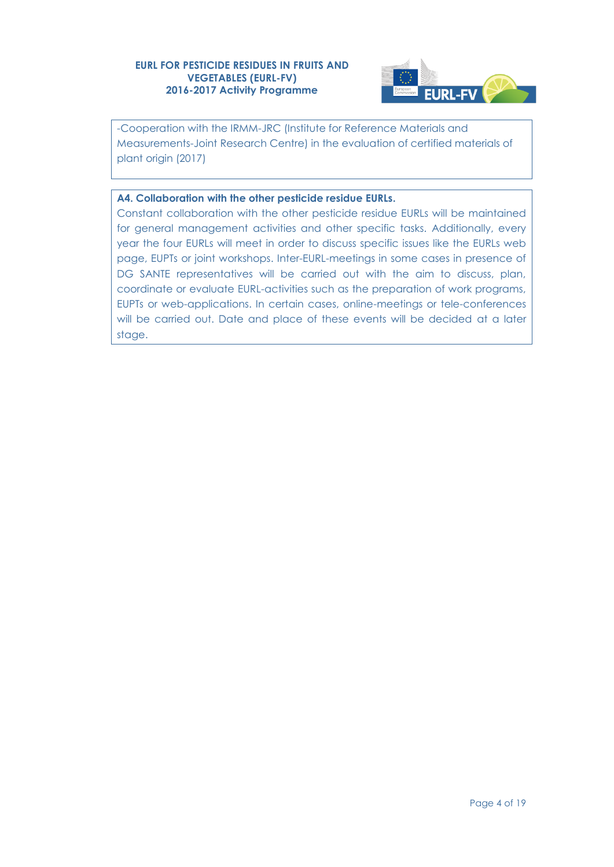

-Cooperation with the IRMM-JRC (Institute for Reference Materials and Measurements-Joint Research Centre) in the evaluation of certified materials of plant origin (2017)

### **A4. Collaboration with the other pesticide residue EURLs.**

Constant collaboration with the other pesticide residue EURLs will be maintained for general management activities and other specific tasks. Additionally, every year the four EURLs will meet in order to discuss specific issues like the EURLs web page, EUPTs or joint workshops. Inter-EURL-meetings in some cases in presence of DG SANTE representatives will be carried out with the aim to discuss, plan, coordinate or evaluate EURL-activities such as the preparation of work programs, EUPTs or web-applications. In certain cases, online-meetings or tele-conferences will be carried out. Date and place of these events will be decided at a later stage.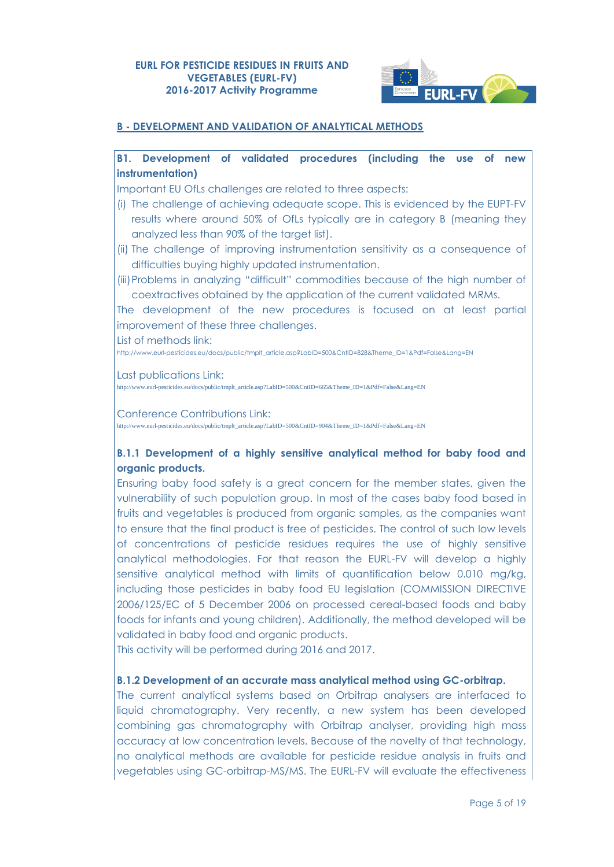

### **B - DEVELOPMENT AND VALIDATION OF ANALYTICAL METHODS**

### **B1. Development of validated procedures (including the use of new instrumentation)**

Important EU OfLs challenges are related to three aspects:

- (i) The challenge of achieving adequate scope. This is evidenced by the EUPT-FV results where around 50% of OfLs typically are in category B (meaning they analyzed less than 90% of the target list).
- (ii) The challenge of improving instrumentation sensitivity as a consequence of difficulties buying highly updated instrumentation.
- (iii)Problems in analyzing "difficult" commodities because of the high number of coextractives obtained by the application of the current validated MRMs.

The development of the new procedures is focused on at least partial improvement of these three challenges.

List of methods link:

[http://www.eurl-pesticides.eu/docs/public/tmplt\\_article.asp?LabID=500&CntID=828&Theme\\_ID=1&Pdf=False&Lang=EN](http://www.eurl-pesticides.eu/docs/public/tmplt_article.asp?LabID=500&CntID=828&Theme_ID=1&Pdf=False&Lang=EN)

Last publications Link:

http://www.eurl-pesticides.eu/docs/public/tmplt\_article.asp?LabID=500&CntID=665&Theme\_ID=1&Pdf=False&Lang=EN

Conference Contributions Link:

http://www.eurl-pesticides.eu/docs/public/tmplt\_article.asp?LabID=500&CntID=904&Theme\_ID=1&Pdf=False&Lang=EN

### **B.1.1 Development of a highly sensitive analytical method for baby food and organic products.**

Ensuring baby food safety is a great concern for the member states, given the vulnerability of such population group. In most of the cases baby food based in fruits and vegetables is produced from organic samples, as the companies want to ensure that the final product is free of pesticides. The control of such low levels of concentrations of pesticide residues requires the use of highly sensitive analytical methodologies. For that reason the EURL-FV will develop a highly sensitive analytical method with limits of quantification below 0.010 mg/kg, including those pesticides in baby food EU legislation (COMMISSION DIRECTIVE 2006/125/EC of 5 December 2006 on processed cereal-based foods and baby foods for infants and young children). Additionally, the method developed will be validated in baby food and organic products.

This activity will be performed during 2016 and 2017.

#### **B.1.2 Development of an accurate mass analytical method using GC-orbitrap.**

The current analytical systems based on Orbitrap analysers are interfaced to liquid chromatography. Very recently, a new system has been developed combining gas chromatography with Orbitrap analyser, providing high mass accuracy at low concentration levels. Because of the novelty of that technology, no analytical methods are available for pesticide residue analysis in fruits and vegetables using GC-orbitrap-MS/MS. The EURL-FV will evaluate the effectiveness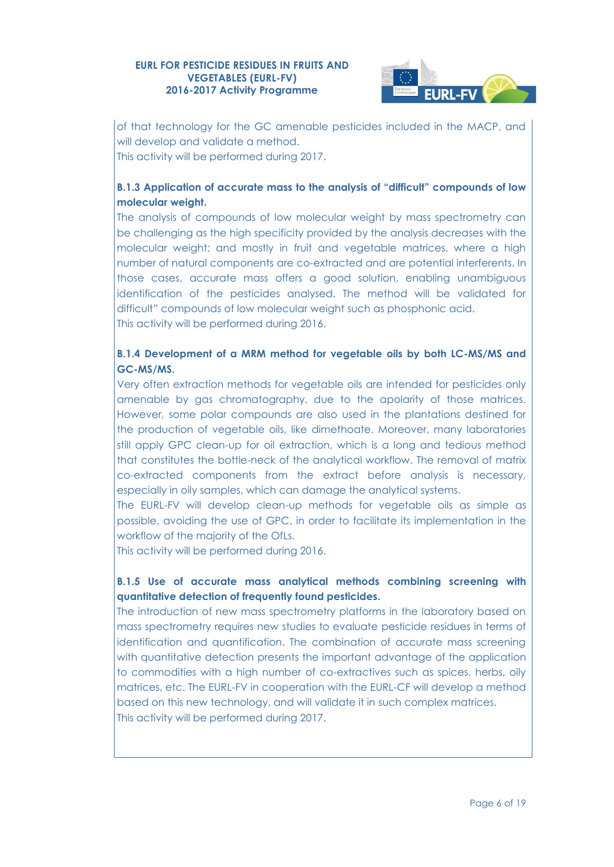

of that technology for the GC amenable pesticides included in the MACP, and will develop and validate a method. This activity will be performed during 2017.

# **B.1.3 Application of accurate mass to the analysis of "difficult" compounds of low molecular weight.**

The analysis of compounds of low molecular weight by mass spectrometry can be challenging as the high specificity provided by the analysis decreases with the molecular weight; and mostly in fruit and vegetable matrices, where a high number of natural components are co-extracted and are potential interferents. In those cases, accurate mass offers a good solution, enabling unambiguous identification of the pesticides analysed. The method will be validated for difficult" compounds of low molecular weight such as phosphonic acid. This activity will be performed during 2016.

# **B.1.4 Development of a MRM method for vegetable oils by both LC-MS/MS and GC-MS/MS.**

Very often extraction methods for vegetable oils are intended for pesticides only amenable by gas chromatography, due to the apolarity of those matrices. However, some polar compounds are also used in the plantations destined for the production of vegetable oils, like dimethoate. Moreover, many laboratories still apply GPC clean-up for oil extraction, which is a long and tedious method that constitutes the bottle-neck of the analytical workflow. The removal of matrix co-extracted components from the extract before analysis is necessary, especially in oily samples, which can damage the analytical systems.

The EURL-FV will develop clean-up methods for vegetable oils as simple as possible, avoiding the use of GPC, in order to facilitate its implementation in the workflow of the majority of the OfLs.

This activity will be performed during 2016.

# **B.1.5 Use of accurate mass analytical methods combining screening with quantitative detection of frequently found pesticides.**

The introduction of new mass spectrometry platforms in the laboratory based on mass spectrometry requires new studies to evaluate pesticide residues in terms of identification and quantification. The combination of accurate mass screening with quantitative detection presents the important advantage of the application to commodities with a high number of co-extractives such as spices, herbs, oily matrices, etc. The EURL-FV in cooperation with the EURL-CF will develop a method based on this new technology, and will validate it in such complex matrices. This activity will be performed during 2017.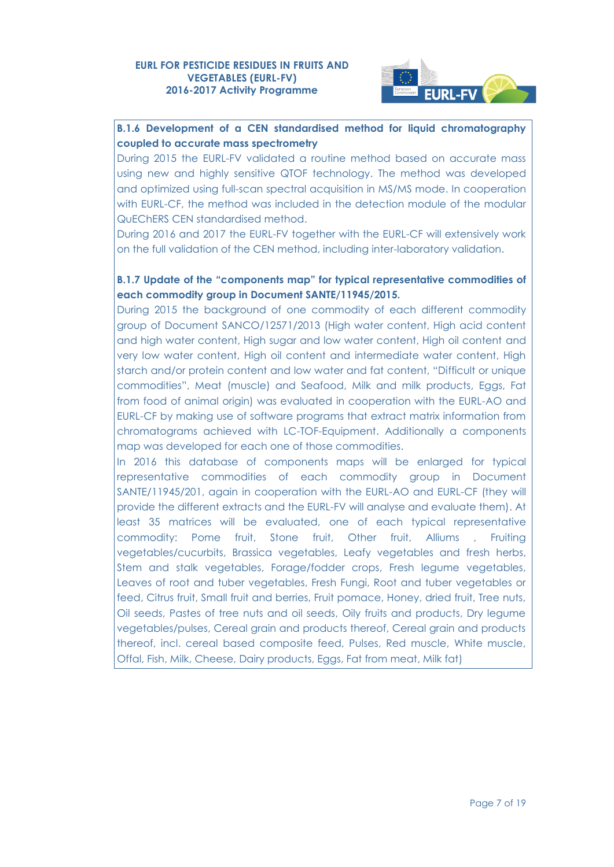

# **B.1.6 Development of a CEN standardised method for liquid chromatography coupled to accurate mass spectrometry**

During 2015 the EURL-FV validated a routine method based on accurate mass using new and highly sensitive QTOF technology. The method was developed and optimized using full-scan spectral acquisition in MS/MS mode. In cooperation with EURL-CF, the method was included in the detection module of the modular QuEChERS CEN standardised method.

During 2016 and 2017 the EURL-FV together with the EURL-CF will extensively work on the full validation of the CEN method, including inter-laboratory validation.

### **B.1.7 Update of the "components map" for typical representative commodities of each commodity group in Document SANTE/11945/2015.**

During 2015 the background of one commodity of each different commodity group of Document SANCO/12571/2013 (High water content, High acid content and high water content, High sugar and low water content, High oil content and very low water content, High oil content and intermediate water content, High starch and/or protein content and low water and fat content, "Difficult or unique commodities", Meat (muscle) and Seafood, Milk and milk products, Eggs, Fat from food of animal origin) was evaluated in cooperation with the EURL-AO and EURL-CF by making use of software programs that extract matrix information from chromatograms achieved with LC-TOF-Equipment. Additionally a components map was developed for each one of those commodities.

In 2016 this database of components maps will be enlarged for typical representative commodities of each commodity group in Document SANTE/11945/201, again in cooperation with the EURL-AO and EURL-CF (they will provide the different extracts and the EURL-FV will analyse and evaluate them). At least 35 matrices will be evaluated, one of each typical representative commodity: Pome fruit, Stone fruit, Other fruit, Alliums , Fruiting vegetables/cucurbits, Brassica vegetables, Leafy vegetables and fresh herbs, Stem and stalk vegetables, Forage/fodder crops, Fresh legume vegetables, Leaves of root and tuber vegetables, Fresh Fungi, Root and tuber vegetables or feed, Citrus fruit, Small fruit and berries, Fruit pomace, Honey, dried fruit, Tree nuts, Oil seeds, Pastes of tree nuts and oil seeds, Oily fruits and products, Dry legume vegetables/pulses, Cereal grain and products thereof, Cereal grain and products thereof, incl. cereal based composite feed, Pulses, Red muscle, White muscle, Offal, Fish, Milk, Cheese, Dairy products, Eggs, Fat from meat, Milk fat)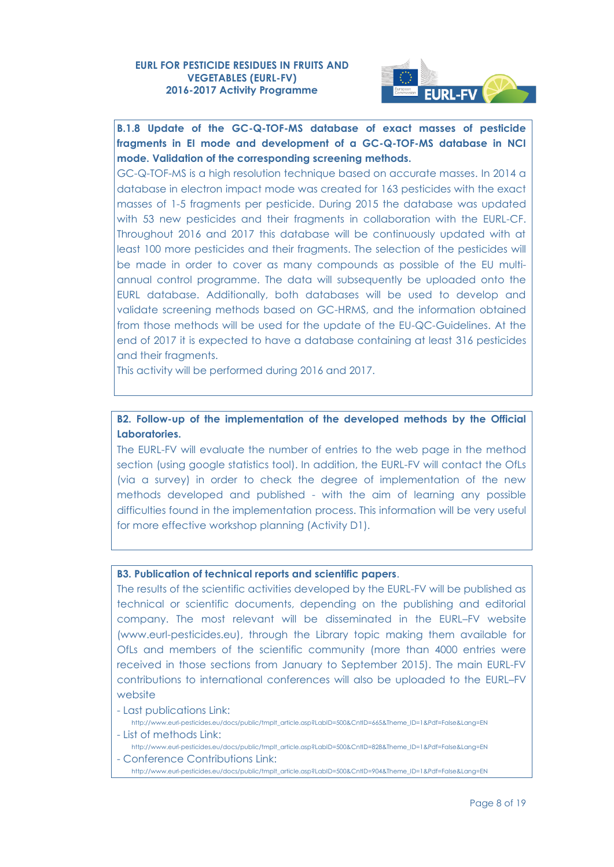

# **B.1.8 Update of the GC-Q-TOF-MS database of exact masses of pesticide fragments in EI mode and development of a GC-Q-TOF-MS database in NCI mode. Validation of the corresponding screening methods.**

GC-Q-TOF-MS is a high resolution technique based on accurate masses. In 2014 a database in electron impact mode was created for 163 pesticides with the exact masses of 1-5 fragments per pesticide. During 2015 the database was updated with 53 new pesticides and their fragments in collaboration with the EURL-CF. Throughout 2016 and 2017 this database will be continuously updated with at least 100 more pesticides and their fragments. The selection of the pesticides will be made in order to cover as many compounds as possible of the EU multiannual control programme. The data will subsequently be uploaded onto the EURL database. Additionally, both databases will be used to develop and validate screening methods based on GC-HRMS, and the information obtained from those methods will be used for the update of the EU-QC-Guidelines. At the end of 2017 it is expected to have a database containing at least 316 pesticides and their fragments.

This activity will be performed during 2016 and 2017.

### **B2. Follow-up of the implementation of the developed methods by the Official Laboratories.**

The EURL-FV will evaluate the number of entries to the web page in the method section (using google statistics tool). In addition, the EURL-FV will contact the OfLs (via a survey) in order to check the degree of implementation of the new methods developed and published - with the aim of learning any possible difficulties found in the implementation process. This information will be very useful for more effective workshop planning (Activity D1).

#### **B3. Publication of technical reports and scientific papers**.

The results of the scientific activities developed by the EURL-FV will be published as technical or scientific documents, depending on the publishing and editorial company. The most relevant will be disseminated in the EURL–FV website [\(www.eurl-pesticides.eu\)](http://www.eurl-pesticides.eu/), through the Library topic making them available for OfLs and members of the scientific community (more than 4000 entries were received in those sections from January to September 2015). The main EURL-FV contributions to international conferences will also be uploaded to the EURL–FV website

- Last publications Link:
- [http://www.eurl-pesticides.eu/docs/public/tmplt\\_article.asp?LabID=500&CntID=665&Theme\\_ID=1&Pdf=False&Lang=EN](http://www.eurl-pesticides.eu/docs/public/tmplt_article.asp?LabID=500&CntID=665&Theme_ID=1&Pdf=False&Lang=EN) - List of methods Link:

[http://www.eurl-pesticides.eu/docs/public/tmplt\\_article.asp?LabID=500&CntID=828&Theme\\_ID=1&Pdf=False&Lang=EN](http://www.eurl-pesticides.eu/docs/public/tmplt_article.asp?LabID=500&CntID=828&Theme_ID=1&Pdf=False&Lang=EN)

- Conference Contributions Link:

[http://www.eurl-pesticides.eu/docs/public/tmplt\\_article.asp?LabID=500&CntID=904&Theme\\_ID=1&Pdf=False&Lang=EN](http://www.eurl-pesticides.eu/docs/public/tmplt_article.asp?LabID=500&CntID=904&Theme_ID=1&Pdf=False&Lang=EN)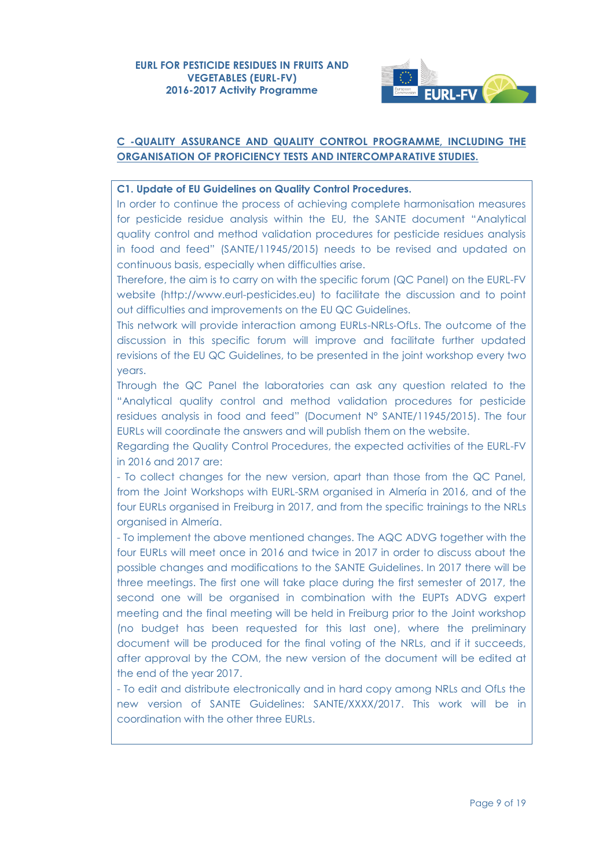

### **C -QUALITY ASSURANCE AND QUALITY CONTROL PROGRAMME, INCLUDING THE ORGANISATION OF PROFICIENCY TESTS AND INTERCOMPARATIVE STUDIES.**

### **C1. Update of EU Guidelines on Quality Control Procedures.**

In order to continue the process of achieving complete harmonisation measures for pesticide residue analysis within the EU, the SANTE document "Analytical quality control and method validation procedures for pesticide residues analysis in food and feed" (SANTE/11945/2015) needs to be revised and updated on continuous basis, especially when difficulties arise.

Therefore, the aim is to carry on with the specific forum (QC Panel) on the EURL-FV website (http://www.eurl-pesticides.eu) to facilitate the discussion and to point out difficulties and improvements on the EU QC Guidelines.

This network will provide interaction among EURLs-NRLs-OfLs. The outcome of the discussion in this specific forum will improve and facilitate further updated revisions of the EU QC Guidelines, to be presented in the joint workshop every two years.

Through the QC Panel the laboratories can ask any question related to the "Analytical quality control and method validation procedures for pesticide residues analysis in food and feed" (Document N° SANTE/11945/2015). The four EURLs will coordinate the answers and will publish them on the website.

Regarding the Quality Control Procedures, the expected activities of the EURL-FV in 2016 and 2017 are:

- To collect changes for the new version, apart than those from the QC Panel, from the Joint Workshops with EURL-SRM organised in Almería in 2016, and of the four EURLs organised in Freiburg in 2017, and from the specific trainings to the NRLs organised in Almería.

- To implement the above mentioned changes. The AQC ADVG together with the four EURLs will meet once in 2016 and twice in 2017 in order to discuss about the possible changes and modifications to the SANTE Guidelines. In 2017 there will be three meetings. The first one will take place during the first semester of 2017, the second one will be organised in combination with the EUPTs ADVG expert meeting and the final meeting will be held in Freiburg prior to the Joint workshop (no budget has been requested for this last one), where the preliminary document will be produced for the final voting of the NRLs, and if it succeeds, after approval by the COM, the new version of the document will be edited at the end of the year 2017.

- To edit and distribute electronically and in hard copy among NRLs and OfLs the new version of SANTE Guidelines: SANTE/XXXX/2017. This work will be in coordination with the other three EURLs.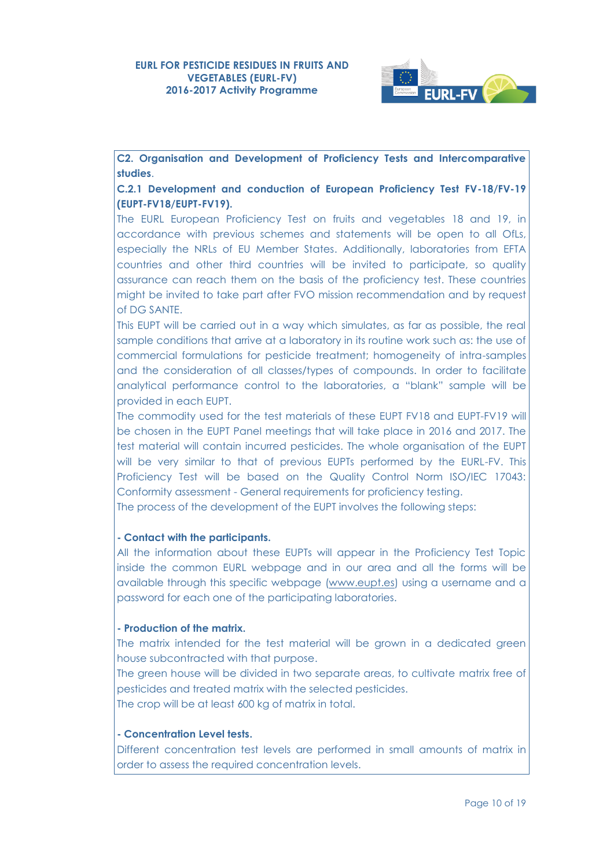

**C2. Organisation and Development of Proficiency Tests and Intercomparative studies**.

**C.2.1 Development and conduction of European Proficiency Test FV-18/FV-19 (EUPT-FV18/EUPT-FV19).**

The EURL European Proficiency Test on fruits and vegetables 18 and 19, in accordance with previous schemes and statements will be open to all OfLs, especially the NRLs of EU Member States. Additionally, laboratories from EFTA countries and other third countries will be invited to participate, so quality assurance can reach them on the basis of the proficiency test. These countries might be invited to take part after FVO mission recommendation and by request of DG SANTE.

This EUPT will be carried out in a way which simulates, as far as possible, the real sample conditions that arrive at a laboratory in its routine work such as: the use of commercial formulations for pesticide treatment; homogeneity of intra-samples and the consideration of all classes/types of compounds. In order to facilitate analytical performance control to the laboratories, a "blank" sample will be provided in each EUPT.

The commodity used for the test materials of these EUPT FV18 and EUPT-FV19 will be chosen in the EUPT Panel meetings that will take place in 2016 and 2017. The test material will contain incurred pesticides. The whole organisation of the EUPT will be very similar to that of previous EUPTs performed by the EURL-FV. This Proficiency Test will be based on the Quality Control Norm ISO/IEC 17043: Conformity assessment - General requirements for proficiency testing.

The process of the development of the EUPT involves the following steps:

#### **- Contact with the participants.**

All the information about these EUPTs will appear in the Proficiency Test Topic inside the common EURL webpage and in our area and all the forms will be available through this specific webpage [\(www.eupt.es\)](http://www.eupt.es/) using a username and a password for each one of the participating laboratories.

#### **- Production of the matrix.**

The matrix intended for the test material will be grown in a dedicated green house subcontracted with that purpose.

The green house will be divided in two separate areas, to cultivate matrix free of pesticides and treated matrix with the selected pesticides.

The crop will be at least 600 kg of matrix in total.

### **- Concentration Level tests.**

Different concentration test levels are performed in small amounts of matrix in order to assess the required concentration levels.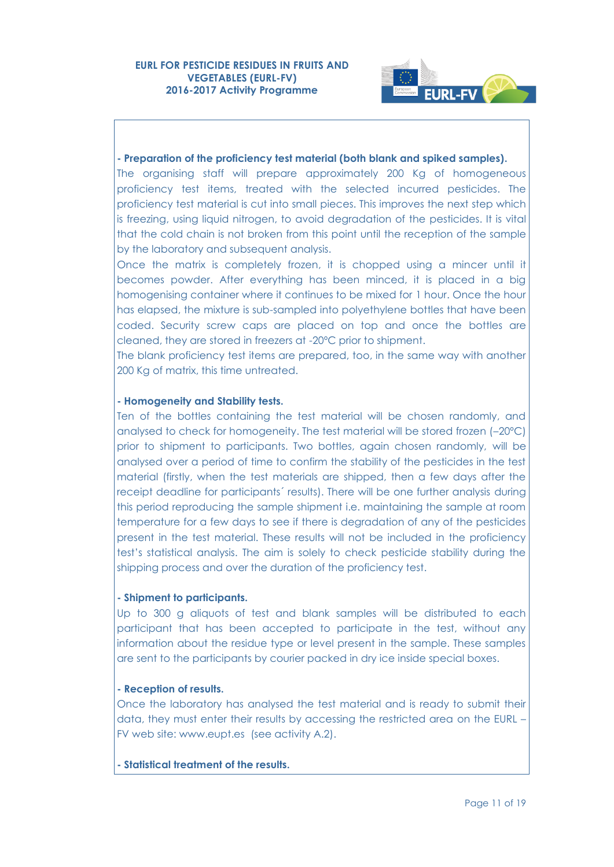

#### **- Preparation of the proficiency test material (both blank and spiked samples).**

The organising staff will prepare approximately 200 Kg of homogeneous proficiency test items, treated with the selected incurred pesticides. The proficiency test material is cut into small pieces. This improves the next step which is freezing, using liquid nitrogen, to avoid degradation of the pesticides. It is vital that the cold chain is not broken from this point until the reception of the sample by the laboratory and subsequent analysis.

Once the matrix is completely frozen, it is chopped using a mincer until it becomes powder. After everything has been minced, it is placed in a big homogenising container where it continues to be mixed for 1 hour. Once the hour has elapsed, the mixture is sub-sampled into polyethylene bottles that have been coded. Security screw caps are placed on top and once the bottles are cleaned, they are stored in freezers at -20ºC prior to shipment.

The blank proficiency test items are prepared, too, in the same way with another 200 Kg of matrix, this time untreated.

#### **- Homogeneity and Stability tests.**

Ten of the bottles containing the test material will be chosen randomly, and analysed to check for homogeneity. The test material will be stored frozen (–20ºC) prior to shipment to participants. Two bottles, again chosen randomly, will be analysed over a period of time to confirm the stability of the pesticides in the test material (firstly, when the test materials are shipped, then a few days after the receipt deadline for participants´ results). There will be one further analysis during this period reproducing the sample shipment i.e. maintaining the sample at room temperature for a few days to see if there is degradation of any of the pesticides present in the test material. These results will not be included in the proficiency test's statistical analysis. The aim is solely to check pesticide stability during the shipping process and over the duration of the proficiency test.

#### **- Shipment to participants.**

Up to 300 g aliquots of test and blank samples will be distributed to each participant that has been accepted to participate in the test, without any information about the residue type or level present in the sample. These samples are sent to the participants by courier packed in dry ice inside special boxes.

#### **- Reception of results.**

Once the laboratory has analysed the test material and is ready to submit their data, they must enter their results by accessing the restricted area on the EURL – FV web site: [www.eupt.es](http://www.eupt.es/) (see activity A.2).

### **- Statistical treatment of the results.**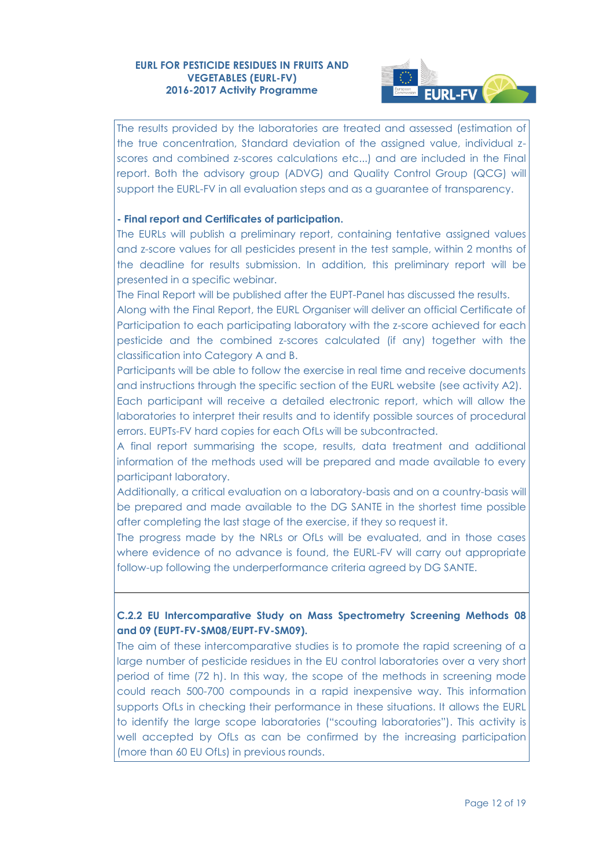

The results provided by the laboratories are treated and assessed (estimation of the true concentration, Standard deviation of the assigned value, individual zscores and combined z-scores calculations etc...) and are included in the Final report. Both the advisory group (ADVG) and Quality Control Group (QCG) will support the EURL-FV in all evaluation steps and as a guarantee of transparency.

### **- Final report and Certificates of participation.**

The EURLs will publish a preliminary report, containing tentative assigned values and z-score values for all pesticides present in the test sample, within 2 months of the deadline for results submission. In addition, this preliminary report will be presented in a specific webinar.

The Final Report will be published after the EUPT-Panel has discussed the results. Along with the Final Report, the EURL Organiser will deliver an official Certificate of Participation to each participating laboratory with the z-score achieved for each pesticide and the combined z-scores calculated (if any) together with the classification into Category A and B.

Participants will be able to follow the exercise in real time and receive documents and instructions through the specific section of the EURL website (see activity A2). Each participant will receive a detailed electronic report, which will allow the laboratories to interpret their results and to identify possible sources of procedural errors. EUPTs-FV hard copies for each OfLs will be subcontracted.

A final report summarising the scope, results, data treatment and additional information of the methods used will be prepared and made available to every participant laboratory.

Additionally, a critical evaluation on a laboratory-basis and on a country-basis will be prepared and made available to the DG SANTE in the shortest time possible after completing the last stage of the exercise, if they so request it.

The progress made by the NRLs or OfLs will be evaluated, and in those cases where evidence of no advance is found, the EURL-FV will carry out appropriate follow-up following the underperformance criteria agreed by DG SANTE.

# **C.2.2 EU Intercomparative Study on Mass Spectrometry Screening Methods 08 and 09 (EUPT-FV-SM08/EUPT-FV-SM09).**

The aim of these intercomparative studies is to promote the rapid screening of a large number of pesticide residues in the EU control laboratories over a very short period of time (72 h). In this way, the scope of the methods in screening mode could reach 500-700 compounds in a rapid inexpensive way. This information supports OfLs in checking their performance in these situations. It allows the EURL to identify the large scope laboratories ("scouting laboratories"). This activity is well accepted by OfLs as can be confirmed by the increasing participation (more than 60 EU OfLs) in previous rounds.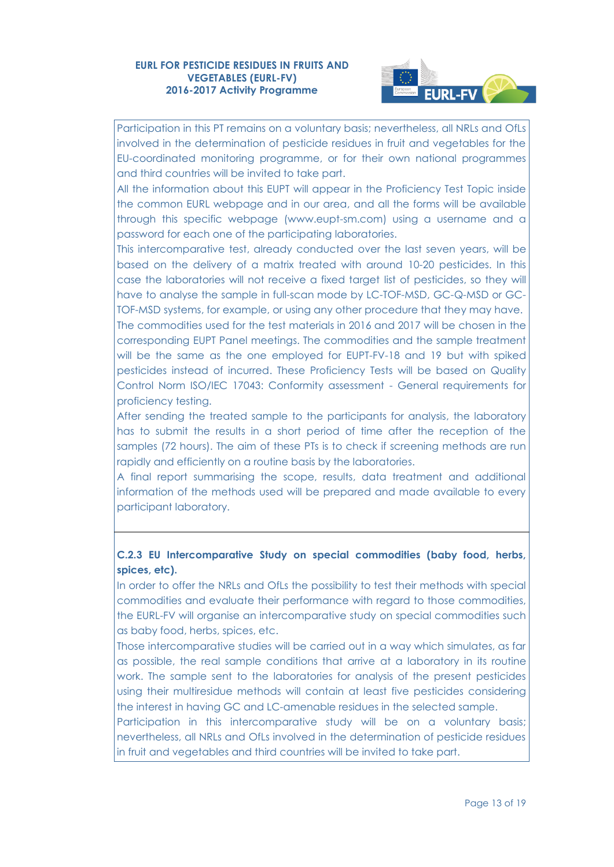

Participation in this PT remains on a voluntary basis; nevertheless, all NRLs and OfLs involved in the determination of pesticide residues in fruit and vegetables for the EU-coordinated monitoring programme, or for their own national programmes and third countries will be invited to take part.

All the information about this EUPT will appear in the Proficiency Test Topic inside the common EURL webpage and in our area, and all the forms will be available through this specific webpage [\(www.eupt-sm.com\)](http://www.eupt-sm.com/) using a username and a password for each one of the participating laboratories.

This intercomparative test, already conducted over the last seven years, will be based on the delivery of a matrix treated with around 10-20 pesticides. In this case the laboratories will not receive a fixed target list of pesticides, so they will have to analyse the sample in full-scan mode by LC-TOF-MSD, GC-Q-MSD or GC-TOF-MSD systems, for example, or using any other procedure that they may have. The commodities used for the test materials in 2016 and 2017 will be chosen in the corresponding EUPT Panel meetings. The commodities and the sample treatment will be the same as the one employed for EUPT-FV-18 and 19 but with spiked pesticides instead of incurred. These Proficiency Tests will be based on Quality Control Norm ISO/IEC 17043: Conformity assessment - General requirements for proficiency testing.

After sending the treated sample to the participants for analysis, the laboratory has to submit the results in a short period of time after the reception of the samples (72 hours). The aim of these PTs is to check if screening methods are run rapidly and efficiently on a routine basis by the laboratories.

A final report summarising the scope, results, data treatment and additional information of the methods used will be prepared and made available to every participant laboratory.

### **C.2.3 EU Intercomparative Study on special commodities (baby food, herbs, spices, etc).**

In order to offer the NRLs and OfLs the possibility to test their methods with special commodities and evaluate their performance with regard to those commodities, the EURL-FV will organise an intercomparative study on special commodities such as baby food, herbs, spices, etc.

Those intercomparative studies will be carried out in a way which simulates, as far as possible, the real sample conditions that arrive at a laboratory in its routine work. The sample sent to the laboratories for analysis of the present pesticides using their multiresidue methods will contain at least five pesticides considering the interest in having GC and LC-amenable residues in the selected sample.

Participation in this intercomparative study will be on a voluntary basis; nevertheless, all NRLs and OfLs involved in the determination of pesticide residues in fruit and vegetables and third countries will be invited to take part.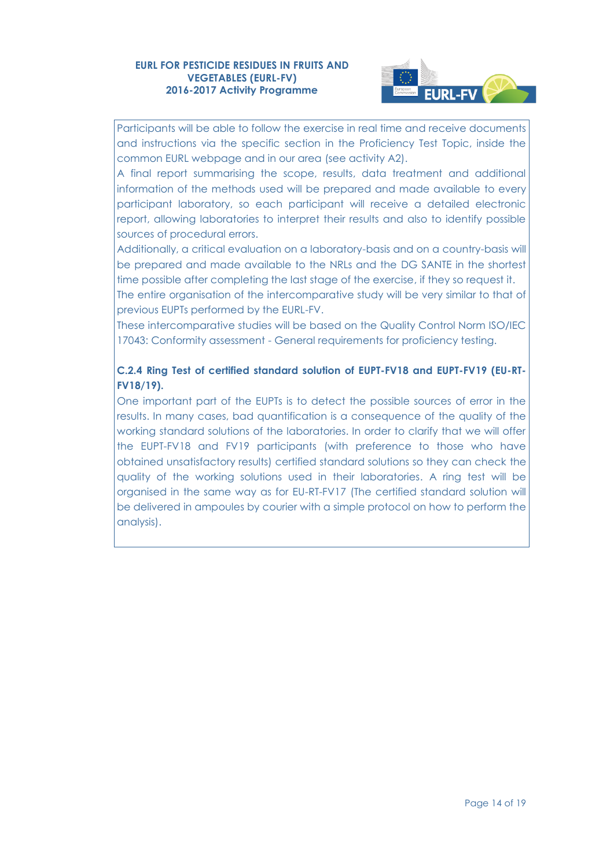

Participants will be able to follow the exercise in real time and receive documents and instructions via the specific section in the Proficiency Test Topic, inside the common EURL webpage and in our area (see activity A2).

A final report summarising the scope, results, data treatment and additional information of the methods used will be prepared and made available to every participant laboratory, so each participant will receive a detailed electronic report, allowing laboratories to interpret their results and also to identify possible sources of procedural errors.

Additionally, a critical evaluation on a laboratory-basis and on a country-basis will be prepared and made available to the NRLs and the DG SANTE in the shortest time possible after completing the last stage of the exercise, if they so request it.

The entire organisation of the intercomparative study will be very similar to that of previous EUPTs performed by the EURL-FV.

These intercomparative studies will be based on the Quality Control Norm ISO/IEC 17043: Conformity assessment - General requirements for proficiency testing.

# **C.2.4 Ring Test of certified standard solution of EUPT-FV18 and EUPT-FV19 (EU-RT-FV18/19).**

One important part of the EUPTs is to detect the possible sources of error in the results. In many cases, bad quantification is a consequence of the quality of the working standard solutions of the laboratories. In order to clarify that we will offer the EUPT-FV18 and FV19 participants (with preference to those who have obtained unsatisfactory results) certified standard solutions so they can check the quality of the working solutions used in their laboratories. A ring test will be organised in the same way as for EU-RT-FV17 (The certified standard solution will be delivered in ampoules by courier with a simple protocol on how to perform the analysis).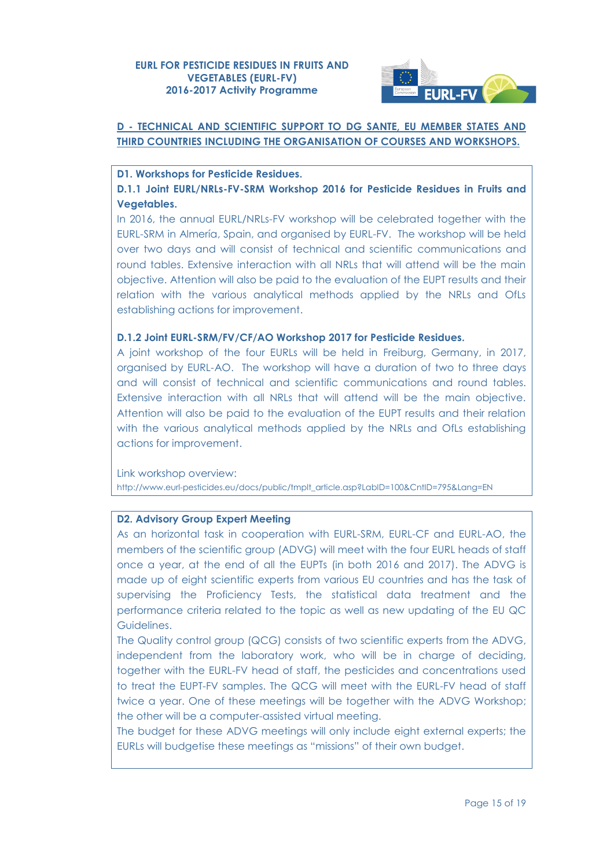

## **D - TECHNICAL AND SCIENTIFIC SUPPORT TO DG SANTE, EU MEMBER STATES AND THIRD COUNTRIES INCLUDING THE ORGANISATION OF COURSES AND WORKSHOPS.**

**D1. Workshops for Pesticide Residues.**

**D.1.1 Joint EURL/NRLs-FV-SRM Workshop 2016 for Pesticide Residues in Fruits and Vegetables.**

In 2016, the annual EURL/NRLs-FV workshop will be celebrated together with the EURL-SRM in Almería, Spain, and organised by EURL-FV. The workshop will be held over two days and will consist of technical and scientific communications and round tables. Extensive interaction with all NRLs that will attend will be the main objective. Attention will also be paid to the evaluation of the EUPT results and their relation with the various analytical methods applied by the NRLs and OfLs establishing actions for improvement.

#### **D.1.2 Joint EURL-SRM/FV/CF/AO Workshop 2017 for Pesticide Residues.**

A joint workshop of the four EURLs will be held in Freiburg, Germany, in 2017, organised by EURL-AO. The workshop will have a duration of two to three days and will consist of technical and scientific communications and round tables. Extensive interaction with all NRLs that will attend will be the main objective. Attention will also be paid to the evaluation of the EUPT results and their relation with the various analytical methods applied by the NRLs and OfLs establishing actions for improvement.

Link workshop overview: [http://www.eurl-pesticides.eu/docs/public/tmplt\\_article.asp?LabID=100&CntID=795&Lang=EN](http://www.eurl-pesticides.eu/docs/public/tmplt_article.asp?LabID=100&CntID=795&Lang=EN)

#### **D2. Advisory Group Expert Meeting**

As an horizontal task in cooperation with EURL-SRM, EURL-CF and EURL-AO, the members of the scientific group (ADVG) will meet with the four EURL heads of staff once a year, at the end of all the EUPTs (in both 2016 and 2017). The ADVG is made up of eight scientific experts from various EU countries and has the task of supervising the Proficiency Tests, the statistical data treatment and the performance criteria related to the topic as well as new updating of the EU QC Guidelines.

The Quality control group (QCG) consists of two scientific experts from the ADVG, independent from the laboratory work, who will be in charge of deciding, together with the EURL-FV head of staff, the pesticides and concentrations used to treat the EUPT-FV samples. The QCG will meet with the EURL-FV head of staff twice a year. One of these meetings will be together with the ADVG Workshop; the other will be a computer-assisted virtual meeting.

The budget for these ADVG meetings will only include eight external experts; the EURLs will budgetise these meetings as "missions" of their own budget.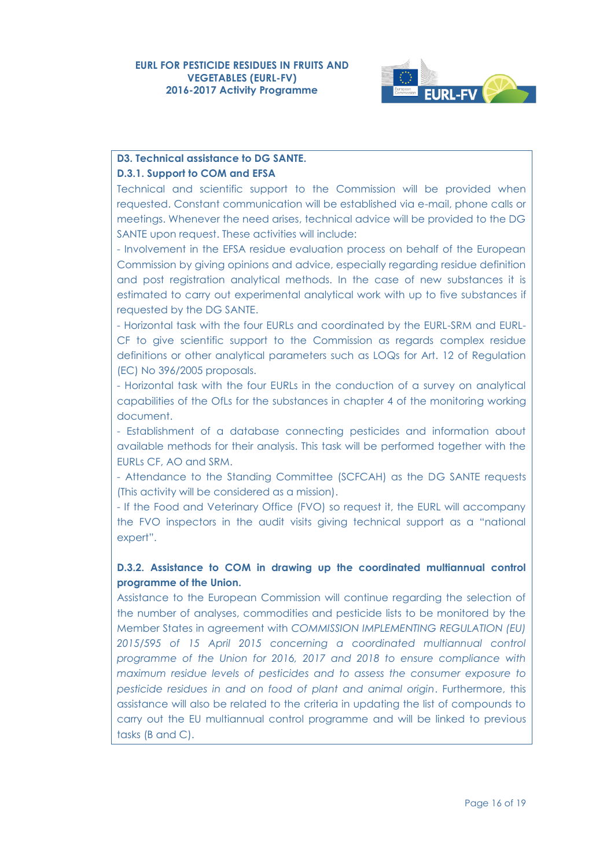

# **D3. Technical assistance to DG SANTE.**

### **D.3.1. Support to COM and EFSA**

Technical and scientific support to the Commission will be provided when requested. Constant communication will be established via e-mail, phone calls or meetings. Whenever the need arises, technical advice will be provided to the DG SANTE upon request. These activities will include:

- Involvement in the EFSA residue evaluation process on behalf of the European Commission by giving opinions and advice, especially regarding residue definition and post registration analytical methods. In the case of new substances it is estimated to carry out experimental analytical work with up to five substances if requested by the DG SANTE.

- Horizontal task with the four EURLs and coordinated by the EURL-SRM and EURL-CF to give scientific support to the Commission as regards complex residue definitions or other analytical parameters such as LOQs for Art. 12 of Regulation (EC) No 396/2005 proposals.

- Horizontal task with the four EURLs in the conduction of a survey on analytical capabilities of the OfLs for the substances in chapter 4 of the monitoring working document.

- Establishment of a database connecting pesticides and information about available methods for their analysis. This task will be performed together with the EURLs CF, AO and SRM.

- Attendance to the Standing Committee (SCFCAH) as the DG SANTE requests (This activity will be considered as a mission).

- If the Food and Veterinary Office (FVO) so request it, the EURL will accompany the FVO inspectors in the audit visits giving technical support as a "national expert".

# **D.3.2. Assistance to COM in drawing up the coordinated multiannual control programme of the Union.**

Assistance to the European Commission will continue regarding the selection of the number of analyses, commodities and pesticide lists to be monitored by the Member States in agreement with *COMMISSION IMPLEMENTING REGULATION (EU) 2015/595 of 15 April 2015 concerning a coordinated multiannual control programme of the Union for 2016, 2017 and 2018 to ensure compliance with maximum residue levels of pesticides and to assess the consumer exposure to pesticide residues in and on food of plant and animal origin*. Furthermore, this assistance will also be related to the criteria in updating the list of compounds to carry out the EU multiannual control programme and will be linked to previous tasks (B and C).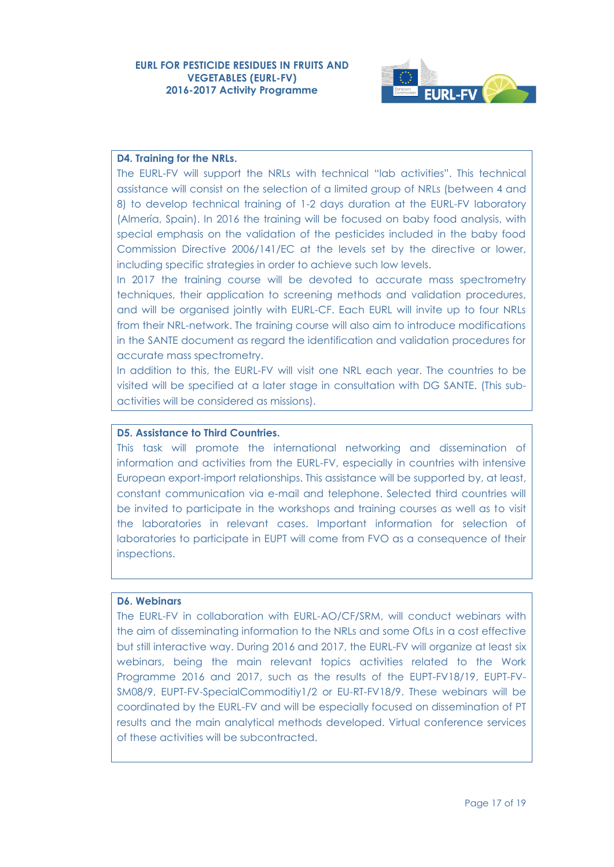

#### **D4. Training for the NRLs.**

The EURL-FV will support the NRLs with technical "lab activities". This technical assistance will consist on the selection of a limited group of NRLs (between 4 and 8) to develop technical training of 1-2 days duration at the EURL-FV laboratory (Almería, Spain). In 2016 the training will be focused on baby food analysis, with special emphasis on the validation of the pesticides included in the baby food Commission Directive 2006/141/EC at the levels set by the directive or lower, including specific strategies in order to achieve such low levels.

In 2017 the training course will be devoted to accurate mass spectrometry techniques, their application to screening methods and validation procedures, and will be organised jointly with EURL-CF. Each EURL will invite up to four NRLs from their NRL-network. The training course will also aim to introduce modifications in the SANTE document as regard the identification and validation procedures for accurate mass spectrometry.

In addition to this, the EURL-FV will visit one NRL each year. The countries to be visited will be specified at a later stage in consultation with DG SANTE. (This subactivities will be considered as missions).

#### **D5. Assistance to Third Countries.**

This task will promote the international networking and dissemination of information and activities from the EURL-FV, especially in countries with intensive European export-import relationships. This assistance will be supported by, at least, constant communication via e-mail and telephone. Selected third countries will be invited to participate in the workshops and training courses as well as to visit the laboratories in relevant cases. Important information for selection of laboratories to participate in EUPT will come from FVO as a consequence of their inspections.

#### **D6. Webinars**

The EURL-FV in collaboration with EURL-AO/CF/SRM, will conduct webinars with the aim of disseminating information to the NRLs and some OfLs in a cost effective but still interactive way. During 2016 and 2017, the EURL-FV will organize at least six webinars, being the main relevant topics activities related to the Work Programme 2016 and 2017, such as the results of the EUPT-FV18/19, EUPT-FV-SM08/9, EUPT-FV-SpecialCommoditiy1/2 or EU-RT-FV18/9. These webinars will be coordinated by the EURL-FV and will be especially focused on dissemination of PT results and the main analytical methods developed. Virtual conference services of these activities will be subcontracted.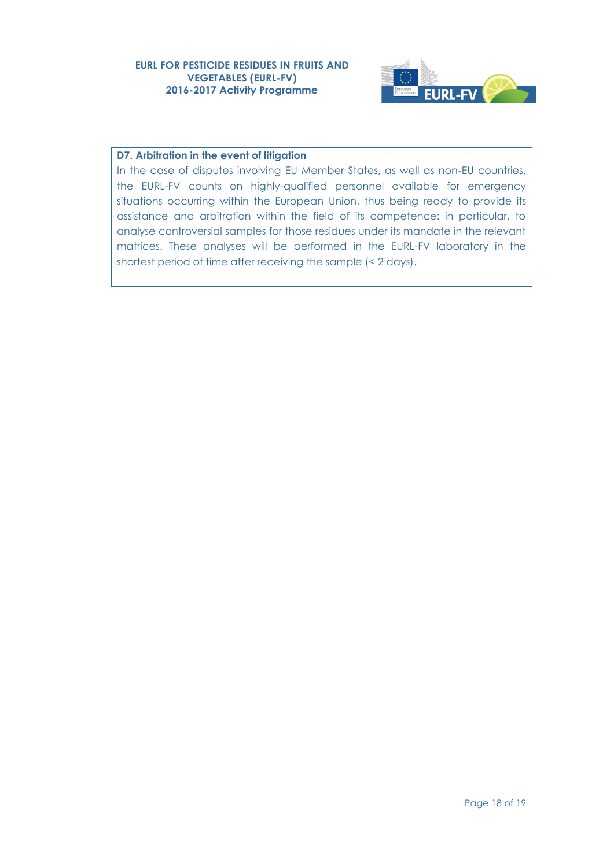

### **D7. Arbitration in the event of litigation**

In the case of disputes involving EU Member States, as well as non-EU countries, the EURL-FV counts on highly-qualified personnel available for emergency situations occurring within the European Union, thus being ready to provide its assistance and arbitration within the field of its competence: in particular, to analyse controversial samples for those residues under its mandate in the relevant matrices. These analyses will be performed in the EURL-FV laboratory in the shortest period of time after receiving the sample (< 2 days).